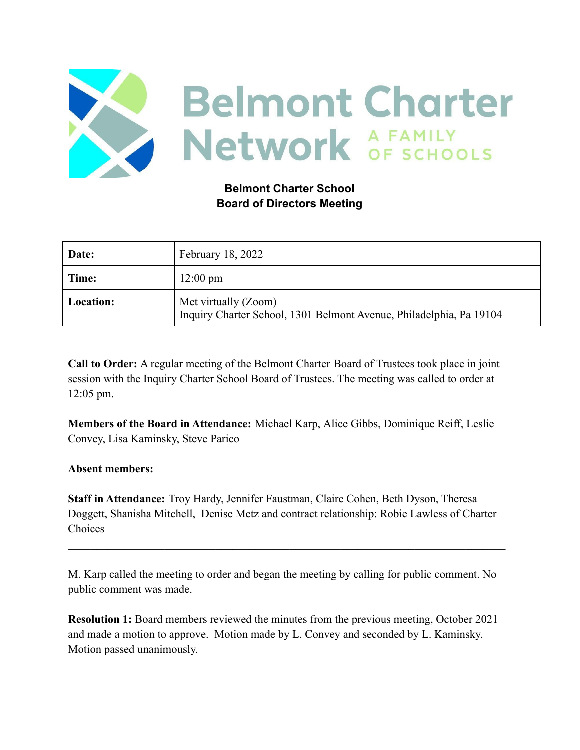

# **Belmont Charter School Board of Directors Meeting**

| Date:     | February 18, 2022                                                                           |
|-----------|---------------------------------------------------------------------------------------------|
| Time:     | $12:00 \text{ pm}$                                                                          |
| Location: | Met virtually (Zoom)<br>Inquiry Charter School, 1301 Belmont Avenue, Philadelphia, Pa 19104 |

**Call to Order:** A regular meeting of the Belmont Charter Board of Trustees took place in joint session with the Inquiry Charter School Board of Trustees. The meeting was called to order at 12:05 pm.

**Members of the Board in Attendance:** Michael Karp, Alice Gibbs, Dominique Reiff, Leslie Convey, Lisa Kaminsky, Steve Parico

### **Absent members:**

**Staff in Attendance:** Troy Hardy, Jennifer Faustman, Claire Cohen, Beth Dyson, Theresa Doggett, Shanisha Mitchell, Denise Metz and contract relationship: Robie Lawless of Charter Choices

 $\mathcal{L}_\mathcal{L} = \{ \mathcal{L}_\mathcal{L} = \{ \mathcal{L}_\mathcal{L} = \{ \mathcal{L}_\mathcal{L} = \{ \mathcal{L}_\mathcal{L} = \{ \mathcal{L}_\mathcal{L} = \{ \mathcal{L}_\mathcal{L} = \{ \mathcal{L}_\mathcal{L} = \{ \mathcal{L}_\mathcal{L} = \{ \mathcal{L}_\mathcal{L} = \{ \mathcal{L}_\mathcal{L} = \{ \mathcal{L}_\mathcal{L} = \{ \mathcal{L}_\mathcal{L} = \{ \mathcal{L}_\mathcal{L} = \{ \mathcal{L}_\mathcal{$ 

M. Karp called the meeting to order and began the meeting by calling for public comment. No public comment was made.

**Resolution 1:** Board members reviewed the minutes from the previous meeting, October 2021 and made a motion to approve. Motion made by L. Convey and seconded by L. Kaminsky. Motion passed unanimously.